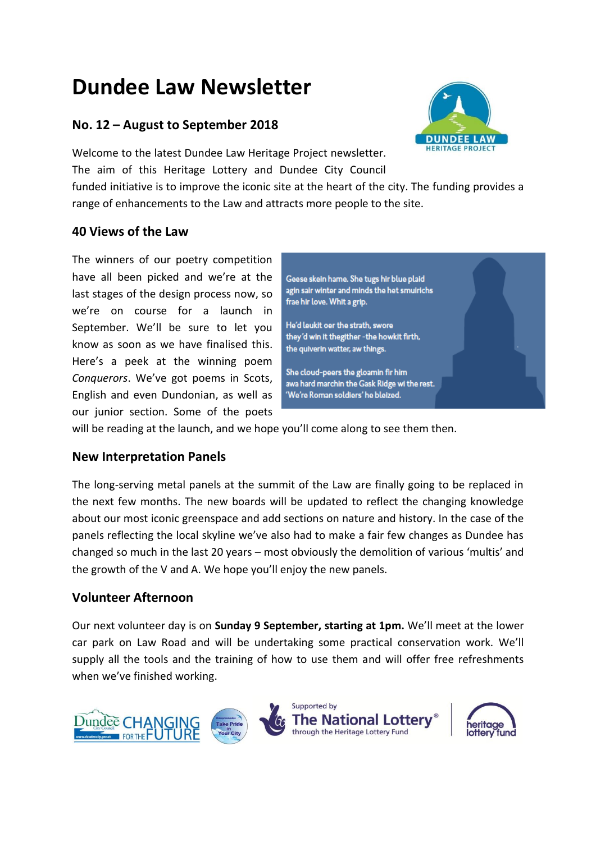# **Dundee Law Newsletter**

# **No. 12 – August to September 2018**

Welcome to the latest Dundee Law Heritage Project newsletter. The aim of this Heritage Lottery and Dundee City Council

funded initiative is to improve the iconic site at the heart of the city. The funding provides a range of enhancements to the Law and attracts more people to the site.

# **40 Views of the Law**

The winners of our poetry competition have all been picked and we're at the last stages of the design process now, so we're on course for a launch in September. We'll be sure to let you know as soon as we have finalised this. Here's a peek at the winning poem *Conquerors*. We've got poems in Scots, English and even Dundonian, as well as our junior section. Some of the poets



'We're Roman soldiers' he bleized.

will be reading at the launch, and we hope you'll come along to see them then.

# **New Interpretation Panels**

The long-serving metal panels at the summit of the Law are finally going to be replaced in the next few months. The new boards will be updated to reflect the changing knowledge about our most iconic greenspace and add sections on nature and history. In the case of the panels reflecting the local skyline we've also had to make a fair few changes as Dundee has changed so much in the last 20 years – most obviously the demolition of various 'multis' and the growth of the V and A. We hope you'll enjoy the new panels.

# **Volunteer Afternoon**

Our next volunteer day is on **Sunday 9 September, starting at 1pm.** We'll meet at the lower car park on Law Road and will be undertaking some practical conservation work. We'll supply all the tools and the training of how to use them and will offer free refreshments when we've finished working.